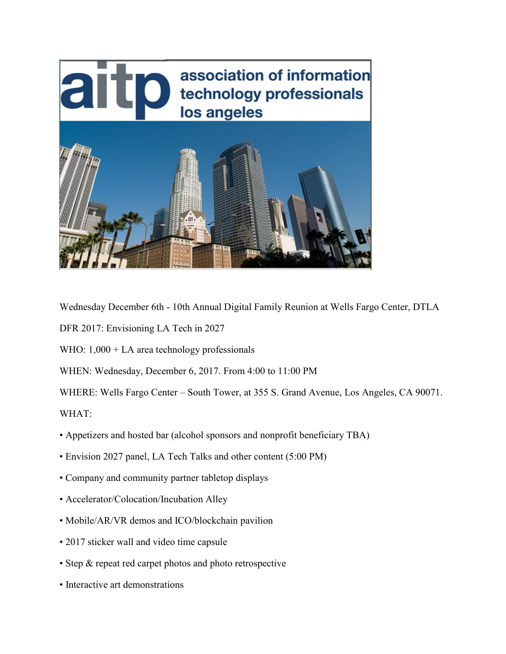

Wednesday December 6th - 10th Annual Digital Family Reunion at Wells Fargo Center, DTLA

DFR 2017: Envisioning LA Tech in 2027

WHO:  $1,000 + LA$  area technology professionals

WHEN: Wednesday, December 6, 2017. From 4:00 to 11:00 PM

WHERE: Wells Fargo Center – South Tower, at 355 S. Grand Avenue, Los Angeles, CA 90071. WHAT:

- Appetizers and hosted bar (alcohol sponsors and nonprofit beneficiary TBA)
- Envision 2027 panel, LA Tech Talks and other content (5:00 PM)
- Company and community partner tabletop displays
- Accelerator/Colocation/Incubation Alley
- Mobile/AR/VR demos and ICO/blockchain pavilion
- 2017 sticker wall and video time capsule
- Step & repeat red carpet photos and photo retrospective
- Interactive art demonstrations